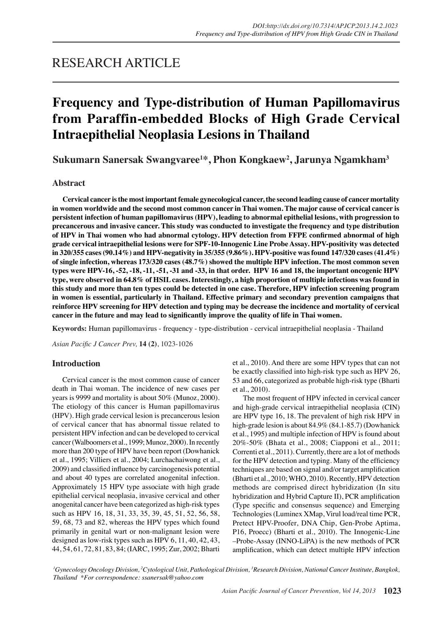## RESEARCH ARTICLE

# **Frequency and Type-distribution of Human Papillomavirus from Paraffin-embedded Blocks of High Grade Cervical Intraepithelial Neoplasia Lesions in Thailand**

**Sukumarn Sanersak Swangvaree1 \*, Phon Kongkaew2 , Jarunya Ngamkham3**

### **Abstract**

**Cervical cancer is the most important female gynecological cancer, the second leading cause of cancer mortality in women worldwide and the second most common cancer in Thai women. The major cause of cervical cancer is persistent infection of human papillomavirus (HPV), leading to abnormal epithelial lesions, with progression to precancerous and invasive cancer. This study was conducted to investigate the frequency and type distribution of HPV in Thai women who had abnormal cytology. HPV detection from FFPE confirmed abnormal of high grade cervical intraepithelial lesions were for SPF-10-Innogenic Line Probe Assay. HPV-positivity was detected in 320/355 cases (90.14%) and HPV-negativity in 35/355 (9.86%). HPV-positive was found 147/320 cases (41.4%) of single infection, whereas 173/320 cases (48.7%) showed the multiple HPV infection. The most common seven types were HPV-16, -52, -18, -11, -51, -31 and -33, in that order. HPV 16 and 18, the important oncogenic HPV type, were observed in 64.8% of HSIL cases. Interestingly, a high proportion of multiple infections was found in this study and more than ten types could be detected in one case. Therefore, HPV infection screening program in women is essential, particularly in Thailand. Effective primary and secondary prevention campaigns that reinforce HPV screening for HPV detection and typing may be decrease the incidence and mortality of cervical cancer in the future and may lead to significantly improve the quality of life in Thai women.**

**Keywords:** Human papillomavirus - frequency - type-distribution - cervical intraepithelial neoplasia - Thailand

*Asian Pacific J Cancer Prev,* **14 (2)**, 1023-1026

## **Introduction**

Cervical cancer is the most common cause of cancer death in Thai woman. The incidence of new cases per years is 9999 and mortality is about 50% (Munoz, 2000). The etiology of this cancer is Human papillomavirus (HPV). High grade cervical lesion is precancerous lesion of cervical cancer that has abnormal tissue related to persistent HPV infection and can be developed to cervical cancer (Walboomers et al., 1999; Munoz, 2000). In recently more than 200 type of HPV have been report (Dowhanick et al., 1995; Villiers et al., 2004; Lurchachaiwong et al., 2009) and classified influence by carcinogenesis potential and about 40 types are correlated anogenital infection. Approximately 15 HPV type associate with high grade epithelial cervical neoplasia, invasive cervical and other anogenital cancer have been categorized as high-risk types such as HPV 16, 18, 31, 33, 35, 39, 45, 51, 52, 56, 58, 59, 68, 73 and 82, whereas the HPV types which found primarily in genital wart or non-malignant lesion were designed as low-risk types such as HPV 6, 11, 40, 42, 43, 44, 54, 61, 72, 81, 83, 84; (IARC, 1995; Zur, 2002; Bharti

et al., 2010). And there are some HPV types that can not be exactly classified into high-risk type such as HPV 26, 53 and 66, categorized as probable high-risk type (Bharti et al., 2010).

The most frequent of HPV infected in cervical cancer and high-grade cervical intraepithelial neoplasia (CIN) are HPV type 16, 18. The prevalent of high risk HPV in high-grade lesion is about 84.9% (84.1-85.7) (Dowhanick et al., 1995) and multiple infection of HPV is found about 20%-50% (Bhata et al., 2008; Ciapponi et al., 2011; Correnti et al., 2011). Currently, there are a lot of methods for the HPV detection and typing. Many of the efficiency techniques are based on signal and/or target amplification (Bharti et al., 2010; WHO, 2010). Recently, HPV detection methods are comprised direct hybridization (In situ hybridization and Hybrid Capture II), PCR amplification (Type specific and consensus sequence) and Emerging Technologies (Luminex XMap, Virul load/real time PCR, Pretect HPV-Proofer, DNA Chip, Gen-Probe Aptima, P16, Proecc) (Bharti et al., 2010). The Innogenic-Line –Probe-Assay (INNO-LiPA) is the new methods of PCR amplification, which can detect multiple HPV infection

*1 Gynecology Oncology Division, <sup>2</sup> Cytological Unit, Pathological Division, <sup>3</sup> Research Division, National Cancer Institute, Bangkok, Thailand \*For correspondence: ssanersak@yahoo.com*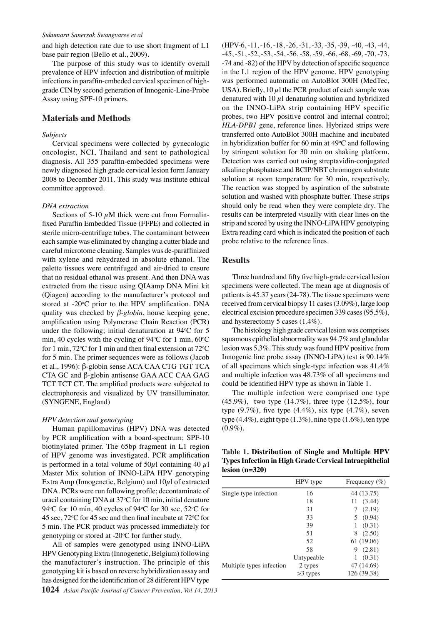#### *Sukumarn Sanersak Swangvaree et al*

and high detection rate due to use short fragment of L1 base pair region (Bello et al., 2009).

The purpose of this study was to identify overall prevalence of HPV infection and distribution of multiple infections in paraffin-embeded cervical specimen of highgrade CIN by second generation of Innogenic-Line-Probe Assay using SPF-10 primers.

#### **Materials and Methods**

#### *Subjects*

Cervical specimens were collected by gynecologic oncologist, NCI, Thailand and sent to pathological diagnosis. All 355 paraffin-embedded specimens were newly diagnosed high grade cervical lesion form January 2008 to December 2011. This study was institute ethical committee approved.

#### *DNA extraction*

Sections of 5-10  $\mu$ M thick were cut from Formalinfixed Paraffin Embedded Tissue (FFPE) and collected in sterile micro-centrifuge tubes. The contaminant between each sample was eliminated by changing a cutter blade and careful microtome cleaning. Samples was de-paraffinized with xylene and rehydrated in absolute ethanol. The palette tissues were centrifuged and air-dried to ensure that no residual ethanol was present. And then DNA was extracted from the tissue using QIAamp DNA Mini kit (Qiagen) according to the manufacturer's protocol and stored at -20°C prior to the HPV amplification. DNA quality was checked by *β-globin*, house keeping gene, amplification using Polymerase Chain Reaction (PCR) under the following; initial denaturation at  $94^{\circ}$ C for 5 min, 40 cycles with the cycling of  $94^{\circ}$ C for 1 min, 60 $^{\circ}$ C for 1 min, 72 °C for 1 min and then final extension at 72 °C for 5 min. The primer sequences were as follows (Jacob et al., 1996): β-globin sense ACA CAA CTG TGT TCA CTA GC and β-globin antisense GAA ACC CAA GAG TCT TCT CT. The amplified products were subjected to electrophoresis and visualized by UV transilluminator. (SYNGENE, England)

#### *HPV detection and genotyping*

Human papillomavirus (HPV) DNA was detected by PCR amplification with a board-spectrum; SPF-10 biotinylated primer. The 65bp fragment in L1 region of HPV genome was investigated. PCR amplification is performed in a total volume of  $50\mu$ l containing 40  $\mu$ l Master Mix solution of INNO-LiPA HPV genotyping Extra Amp (Innogenetic, Belgium) and  $10\mu$ l of extracted DNA. PCRs were run following profile; decontaminate of uracil containing DNA at 37°C for 10 min, initial denature 94°C for 10 min, 40 cycles of 94°C for 30 sec, 52°C for 45 sec,  $72^{\circ}$ C for 45 sec and then final incubate at  $72^{\circ}$ C for 5 min. The PCR product was processed immediately for genotyping or stored at  $-20$ °C for further study.

All of samples were genotyped using INNO-LiPA HPV Genotyping Extra (Innogenetic, Belgium) following the manufacturer's instruction. The principle of this genotyping kit is based on reverse hybridization assay and has designed for the identification of 28 different HPV type

(HPV-6, -11, -16, -18, -26, -31, -33, -35, -39, -40, -43, -44, -45, -51, -52, -53, -54, -56, -58, -59, -66, -68, -69, -70, -73, -74 and -82) of the HPV by detection of specific sequence in the L1 region of the HPV genome. HPV genotyping was performed automatic on AutoBlot 300H (MedTec, USA). Briefly, 10  $\mu$ l the PCR product of each sample was denatured with 10  $\mu$ l denaturing solution and hybridized on the INNO-LiPA strip containing HPV specific probes, two HPV positive control and internal control; *HLA-DPB1* gene, reference lines. Hybrized strips were transferred onto AutoBlot 300H machine and incubated in hybridization buffer for 60 min at  $49^{\circ}$ C and following by stringent solution for 30 min on shaking platform. Detection was carried out using streptavidin-conjugated alkaline phosphatase and BCIP/NBT chromogen substrate solution at room temperature for 30 min, respectively. The reaction was stopped by aspiration of the substrate solution and washed with phosphate buffer. These strips should only be read when they were complete dry. The results can be interpreted visually with clear lines on the strip and scored by using the INNO-LiPA HPV genotyping Extra reading card which is indicated the position of each probe relative to the reference lines.

#### **Results**

Three hundred and fifty five high-grade cervical lesion specimens were collected. The mean age at diagnosis of patients is 45.37 years (24-78). The tissue specimens were received from cervical biopsy 11 cases (3.09%), large loop electrical excision procedure specimen 339 cases (95.5%), and hysterectomy 5 cases (1.4%).

The histology high grade cervical lesion was comprises squamous epithelial abnormality was 94.7% and glandular lesion was 5.3%. This study was found HPV positive from Innogenic line probe assay (INNO-LiPA) test is 90.14% of all specimens which single-type infection was 41.4% and multiple infection was 48.73% of all specimens and could be identified HPV type as shown in Table 1.

The multiple infection were comprised one type  $(45.9\%)$ , two type  $(14.7\%)$ , three type  $(12.5\%)$ , four type  $(9.7\%)$ , five type  $(4.4\%)$ , six type  $(4.7\%)$ , seven type  $(4.4\%)$ , eight type  $(1.3\%)$ , nine type  $(1.6\%)$ , ten type  $(0.9\%).$ 

|                  | Table 1. Distribution of Single and Multiple HPV       |  |  |
|------------------|--------------------------------------------------------|--|--|
|                  | Types Infection in High Grade Cervical Intraepithelial |  |  |
| $lesion (n=320)$ |                                                        |  |  |

|                          | HPV type   | Frequency $(\% )$ |
|--------------------------|------------|-------------------|
| Single type infection    | 16         | 44 (13.75)        |
|                          | 18         | (3.44)<br>11      |
|                          | 31         | 7(2.19)           |
|                          | 33         | 5(0.94)           |
|                          | 39         | (0.31)<br>1       |
|                          | 51         | (2.50)<br>8       |
|                          | 52         | 61 (19.06)        |
|                          | 58         | 9(2.81)           |
|                          | Untypeable | (0.31)            |
| Multiple types infection | 2 types    | 47 (14.69)        |
|                          | $>3$ types | 126 (39.38)       |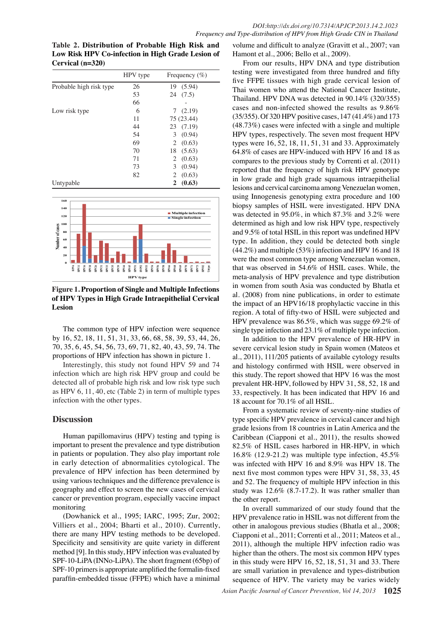**Table 2. Distribution of Probable High Risk and Low Risk HPV Co-infection in High Grade Lesion of Cervical (n=320)**

|                         | HPV type | Frequency $(\% )$ |
|-------------------------|----------|-------------------|
| Probable high risk type | 26       | 19 (5.94)         |
|                         | 53       | (7.5)<br>24       |
|                         | 66       |                   |
| Low risk type           | 6        | 7(2.19)           |
|                         | 11       | 75 (23.44)        |
|                         | 44       | 23 (7.19)         |
|                         | 54       | (0.94)<br>3       |
|                         | 69       | (0.63)<br>2       |
|                         | 70       | 18<br>(5.63)      |
|                         | 71       | 2<br>(0.63)       |
|                         | 73       | 3<br>(0.94)       |
|                         | 82       | (0.63)<br>2       |
| Untypable               |          | (0.63)<br>2       |



**Figure 1. Proportion of Single and Multiple Infections of HPV Types in High Grade Intraepithelial Cervical Lesion**

The common type of HPV infection were sequence by 16, 52, 18, 11, 51, 31, 33, 66, 68, 58, 39, 53, 44, 26, 70, 35, 6, 45, 54, 56, 73, 69, 71, 82, 40, 43, 59, 74. The proportions of HPV infection has shown in picture 1.

Interestingly, this study not found HPV 59 and 74 infection which are high risk HPV group and could be detected all of probable high risk and low risk type such as HPV 6, 11, 40, etc (Table 2) in term of multiple types infection with the other types.

## **Discussion**

Human papillomavirus (HPV) testing and typing is important to present the prevalence and type distribution in patients or population. They also play important role in early detection of abnormalities cytological. The prevalence of HPV infection has been determined by using various techniques and the difference prevalence is geography and effect to screen the new cases of cervical cancer or prevention program, especially vaccine impact monitoring

(Dowhanick et al., 1995; IARC, 1995; Zur, 2002; Villiers et al., 2004; Bharti et al., 2010). Currently, there are many HPV testing methods to be developed. Specificity and sensitivity are quite variety in different method [9]. In this study, HPV infection was evaluated by SPF-10-LiPA (INNo-LiPA). The short fragment (65bp) of SPF-10 primers is appropriate amplified the formalin-fixed paraffin-embedded tissue (FFPE) which have a minimal

volume and difficult to analyze (Gravitt et al., 2007; van Hamont et al., 2006; Bello et al., 2009).

From our results, HPV DNA and type distribution testing were investigated from three hundred and fifty five FFPE tissues with high grade cervical lesion of Thai women who attend the National Cancer Institute, Thailand. HPV DNA was detected in 90.14% (320/355) cases and non-infected showed the results as 9.86% (35/355). Of 320 HPV positive cases, 147 (41.4%) and 173 (48.73%) cases were infected with a single and multiple HPV types, respectively. The seven most frequent HPV types were 16, 52, 18, 11, 51, 31 and 33. Approximately 64.8% of cases are HPV-induced with HPV 16 and 18 as compares to the previous study by Correnti et al. (2011) reported that the frequency of high risk HPV genotype in low grade and high grade squamous intraepithelial lesions and cervical carcinoma among Venezuelan women, using Innogenesis genotyping extra procedure and 100 biopsy samples of HSIL were investigated. HPV DNA was detected in 95.0%, in which 87.3% and 3.2% were determined as high and low risk HPV type, respectively and 9.5% of total HSIL in this report was undefined HPV type. In addition, they could be detected both single (44.2%) and multiple (53%) infection and HPV 16 and 18 were the most common type among Venezuelan women, that was observed in 54.6% of HSIL cases. While, the meta-analysis of HPV prevalence and type distribution in women from south Asia was conducted by Bhatla et al. (2008) from nine publications, in order to estimate the impact of an HPV16/18 prophylactic vaccine in this region. A total of fifty-two of HSIL were subjected and HPV prevalence was 86.5%, which was sugge 69.2% of single type infection and 23.1% of multiple type infection.

In addition to the HPV prevalence of HR-HPV in severe cervical lesion study in Spain women (Mateos et al., 2011), 111/205 patients of available cytology results and histology confirmed with HSIL were observed in this study. The report showed that HPV 16 was the most prevalent HR-HPV, followed by HPV 31, 58, 52, 18 and 33, respectively. It has been indicated that HPV 16 and 18 account for 70.1% of all HSIL.

From a systematic review of seventy-nine studies of type specific HPV prevalence in cervical cancer and high grade lesions from 18 countries in Latin America and the Caribbean (Ciapponi et al., 2011), the results showed 82.5% of HSIL cases harbored in HR-HPV, in which 16.8% (12.9-21.2) was multiple type infection, 45.5% was infected with HPV 16 and 8.9% was HPV 18. The next five most common types were HPV 31, 58, 33, 45 and 52. The frequency of multiple HPV infection in this study was 12.6% (8.7-17.2). It was rather smaller than the other report.

In overall summarized of our study found that the HPV prevalence ratio in HSIL was not different from the other in analogous previous studies (Bhatla et al., 2008; Ciapponi et al., 2011; Correnti et al., 2011; Mateos et al., 2011), although the multiple HPV infection radio was higher than the others. The most six common HPV types in this study were HPV 16, 52, 18, 51, 31 and 33. There are small variation in prevalence and types-distribution sequence of HPV. The variety may be varies widely